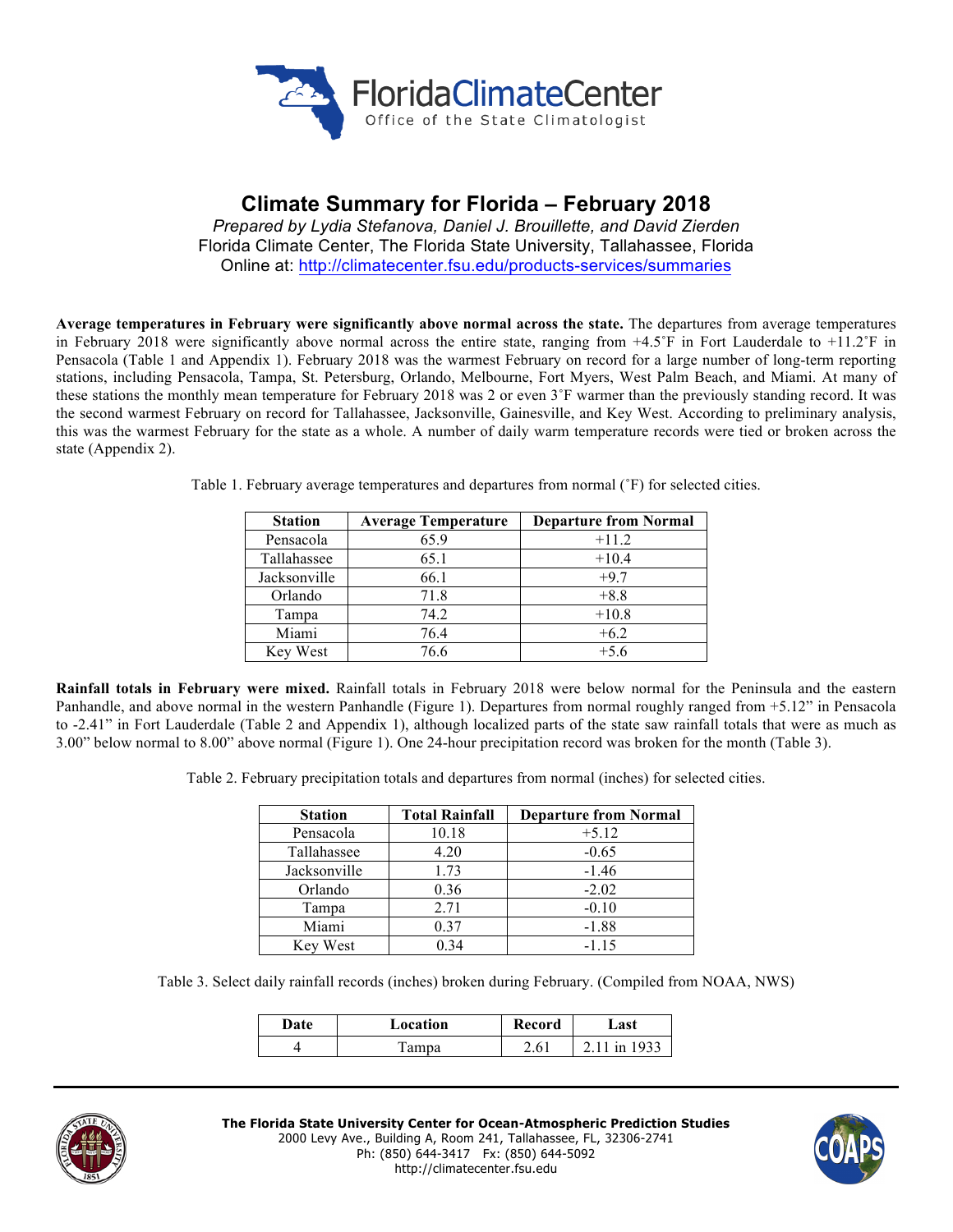

# **Climate Summary for Florida – February 2018**

*Prepared by Lydia Stefanova, Daniel J. Brouillette, and David Zierden* Florida Climate Center, The Florida State University, Tallahassee, Florida Online at: http://climatecenter.fsu.edu/products-services/summaries

**Average temperatures in February were significantly above normal across the state.** The departures from average temperatures in February 2018 were significantly above normal across the entire state, ranging from  $+4.5^{\circ}$ F in Fort Lauderdale to  $+11.2^{\circ}$ F in Pensacola (Table 1 and Appendix 1). February 2018 was the warmest February on record for a large number of long-term reporting stations, including Pensacola, Tampa, St. Petersburg, Orlando, Melbourne, Fort Myers, West Palm Beach, and Miami. At many of these stations the monthly mean temperature for February 2018 was 2 or even 3˚F warmer than the previously standing record. It was the second warmest February on record for Tallahassee, Jacksonville, Gainesville, and Key West. According to preliminary analysis, this was the warmest February for the state as a whole. A number of daily warm temperature records were tied or broken across the state (Appendix 2).

| <b>Station</b> | <b>Average Temperature</b> | <b>Departure from Normal</b> |
|----------------|----------------------------|------------------------------|
| Pensacola      | 65.9                       | $+11.2$                      |
| Tallahassee    | 65.1                       | $+10.4$                      |
| Jacksonville   | 66.1                       | $+9.7$                       |
| Orlando        | 71.8                       | $+8.8$                       |
| Tampa          | 74.2                       | $+10.8$                      |
| Miami          | 76.4                       | $+6.2$                       |
| Key West       | 76.6                       | $+5.6$                       |

Table 1. February average temperatures and departures from normal (˚F) for selected cities.

**Rainfall totals in February were mixed.** Rainfall totals in February 2018 were below normal for the Peninsula and the eastern Panhandle, and above normal in the western Panhandle (Figure 1). Departures from normal roughly ranged from +5.12" in Pensacola to -2.41" in Fort Lauderdale (Table 2 and Appendix 1), although localized parts of the state saw rainfall totals that were as much as 3.00" below normal to 8.00" above normal (Figure 1). One 24-hour precipitation record was broken for the month (Table 3).

Table 2. February precipitation totals and departures from normal (inches) for selected cities.

| <b>Station</b> | <b>Total Rainfall</b> | <b>Departure from Normal</b> |
|----------------|-----------------------|------------------------------|
| Pensacola      | 10.18                 | $+5.12$                      |
| Tallahassee    | 4.20                  | $-0.65$                      |
| Jacksonville   | 1.73                  | $-1.46$                      |
| Orlando        | 0.36                  | $-2.02$                      |
| Tampa          | 2.71                  | $-0.10$                      |
| Miami          | 0.37                  | $-1.88$                      |
| Key West       | 0.34                  | $-1.15$                      |

Table 3. Select daily rainfall records (inches) broken during February. (Compiled from NOAA, NWS)

| Date | Location | Record | ⊿ast |  |
|------|----------|--------|------|--|
|      | 1 ampa   | - K    |      |  |



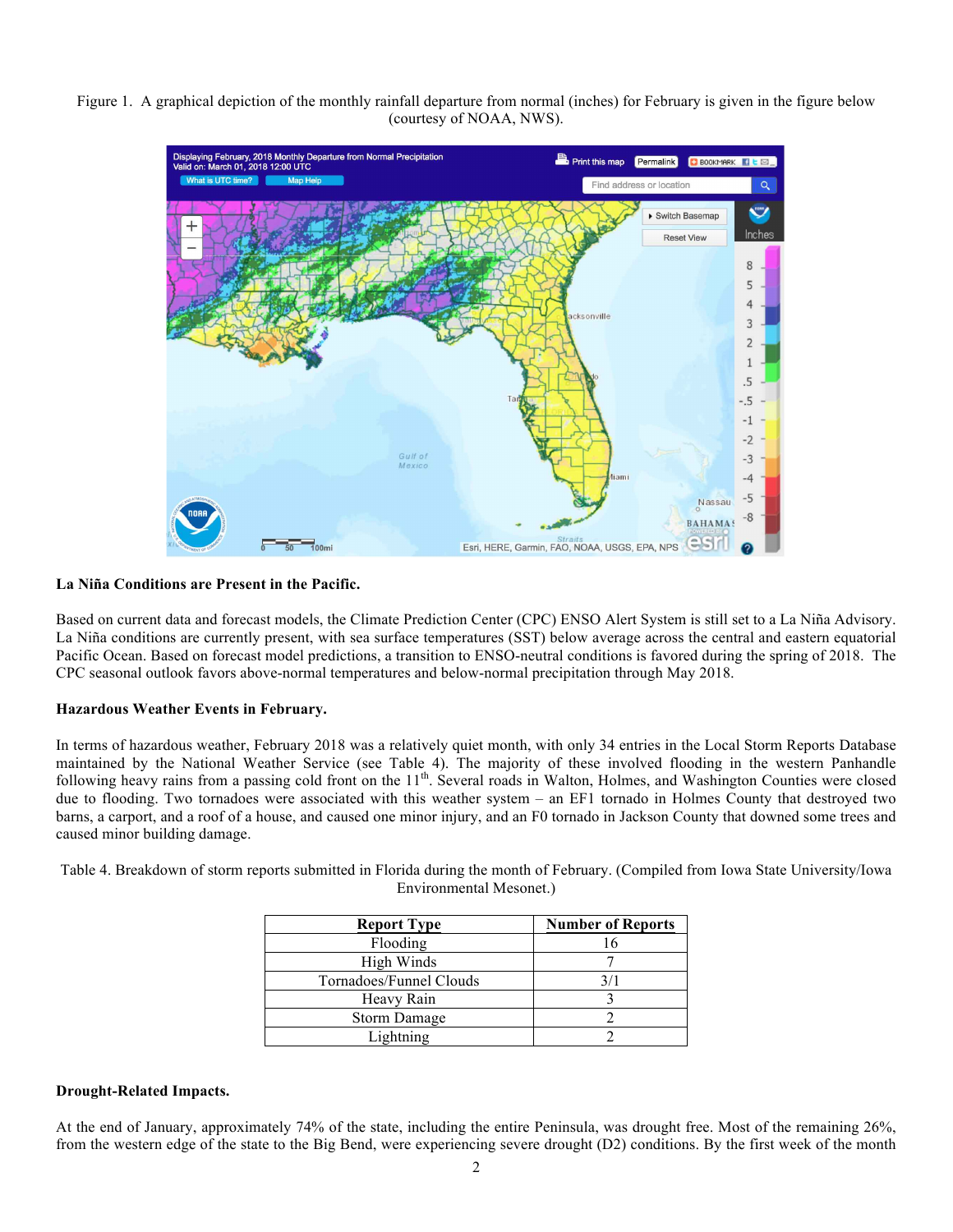Figure 1. A graphical depiction of the monthly rainfall departure from normal (inches) for February is given in the figure below (courtesy of NOAA, NWS).



## **La Niña Conditions are Present in the Pacific.**

Based on current data and forecast models, the Climate Prediction Center (CPC) ENSO Alert System is still set to a La Niña Advisory. La Niña conditions are currently present, with sea surface temperatures (SST) below average across the central and eastern equatorial Pacific Ocean. Based on forecast model predictions, a transition to ENSO-neutral conditions is favored during the spring of 2018. The CPC seasonal outlook favors above-normal temperatures and below-normal precipitation through May 2018.

### **Hazardous Weather Events in February.**

In terms of hazardous weather, February 2018 was a relatively quiet month, with only 34 entries in the Local Storm Reports Database maintained by the National Weather Service (see Table 4). The majority of these involved flooding in the western Panhandle following heavy rains from a passing cold front on the 11<sup>th</sup>. Several roads in Walton, Holmes, and Washington Counties were closed due to flooding. Two tornadoes were associated with this weather system – an EF1 tornado in Holmes County that destroyed two barns, a carport, and a roof of a house, and caused one minor injury, and an F0 tornado in Jackson County that downed some trees and caused minor building damage.

Table 4. Breakdown of storm reports submitted in Florida during the month of February. (Compiled from Iowa State University/Iowa Environmental Mesonet.)

| <b>Report Type</b>      | <b>Number of Reports</b> |
|-------------------------|--------------------------|
| Flooding                |                          |
| High Winds              |                          |
| Tornadoes/Funnel Clouds | 3/1                      |
| Heavy Rain              |                          |
| <b>Storm Damage</b>     |                          |
| Lightning               |                          |

### **Drought-Related Impacts.**

At the end of January, approximately 74% of the state, including the entire Peninsula, was drought free. Most of the remaining 26%, from the western edge of the state to the Big Bend, were experiencing severe drought (D2) conditions. By the first week of the month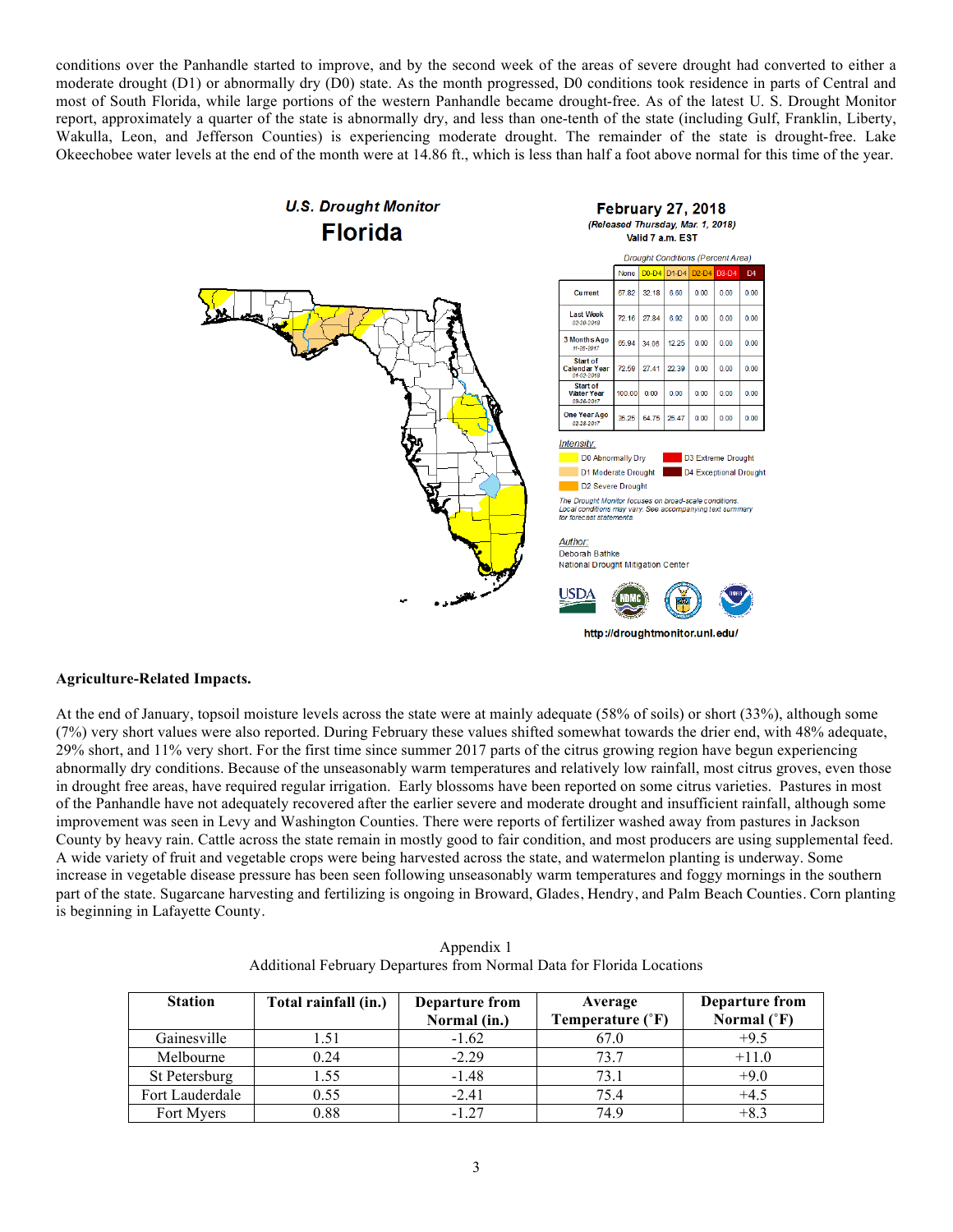conditions over the Panhandle started to improve, and by the second week of the areas of severe drought had converted to either a moderate drought (D1) or abnormally dry (D0) state. As the month progressed, D0 conditions took residence in parts of Central and most of South Florida, while large portions of the western Panhandle became drought-free. As of the latest U. S. Drought Monitor report, approximately a quarter of the state is abnormally dry, and less than one-tenth of the state (including Gulf, Franklin, Liberty, Wakulla, Leon, and Jefferson Counties) is experiencing moderate drought. The remainder of the state is drought-free. Lake Okeechobee water levels at the end of the month were at 14.86 ft., which is less than half a foot above normal for this time of the year.



### **Agriculture-Related Impacts.**

At the end of January, topsoil moisture levels across the state were at mainly adequate (58% of soils) or short (33%), although some (7%) very short values were also reported. During February these values shifted somewhat towards the drier end, with 48% adequate, 29% short, and 11% very short. For the first time since summer 2017 parts of the citrus growing region have begun experiencing abnormally dry conditions. Because of the unseasonably warm temperatures and relatively low rainfall, most citrus groves, even those in drought free areas, have required regular irrigation. Early blossoms have been reported on some citrus varieties. Pastures in most of the Panhandle have not adequately recovered after the earlier severe and moderate drought and insufficient rainfall, although some improvement was seen in Levy and Washington Counties. There were reports of fertilizer washed away from pastures in Jackson County by heavy rain. Cattle across the state remain in mostly good to fair condition, and most producers are using supplemental feed. A wide variety of fruit and vegetable crops were being harvested across the state, and watermelon planting is underway. Some increase in vegetable disease pressure has been seen following unseasonably warm temperatures and foggy mornings in the southern part of the state. Sugarcane harvesting and fertilizing is ongoing in Broward, Glades, Hendry, and Palm Beach Counties. Corn planting is beginning in Lafayette County.

| <b>Station</b>  | Total rainfall (in.) | <b>Departure from</b><br>Normal (in.) | Average<br>Temperature (°F) | <b>Departure from</b><br>Normal $(^{\circ}F)$ |
|-----------------|----------------------|---------------------------------------|-----------------------------|-----------------------------------------------|
| Gainesville     | 1.51                 | $-1.62$                               | 67.0                        | $+9.5$                                        |
| Melbourne       | 0.24                 | $-2.29$                               | 73.7                        | $+11.0$                                       |
| St Petersburg   | 1.55                 | $-1.48$                               | 73.1                        | $+9.0$                                        |
| Fort Lauderdale | 0.55                 | $-2.41$                               | 75.4                        | $+4.5$                                        |
| Fort Myers      | 0.88                 | $-1.27$                               | 749                         |                                               |

Appendix 1 Additional February Departures from Normal Data for Florida Locations